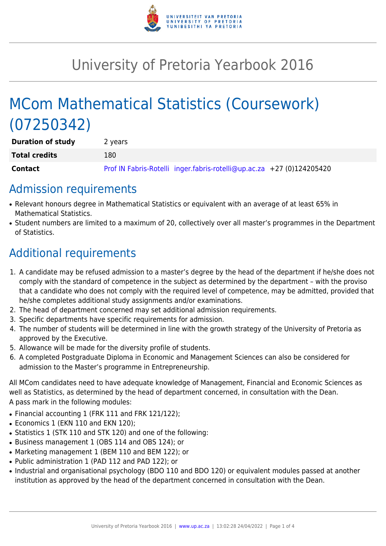

# University of Pretoria Yearbook 2016

# MCom Mathematical Statistics (Coursework) (07250342)

| <b>Duration of study</b> | 2 years                                                               |
|--------------------------|-----------------------------------------------------------------------|
| <b>Total credits</b>     | 180                                                                   |
| <b>Contact</b>           | Prof IN Fabris-Rotelli inger.fabris-rotelli@up.ac.za +27 (0)124205420 |

### Admission requirements

- Relevant honours degree in Mathematical Statistics or equivalent with an average of at least 65% in Mathematical Statistics.
- Student numbers are limited to a maximum of 20, collectively over all master's programmes in the Department of Statistics.

## Additional requirements

- 1. A candidate may be refused admission to a master's degree by the head of the department if he/she does not comply with the standard of competence in the subject as determined by the department – with the proviso that a candidate who does not comply with the required level of competence, may be admitted, provided that he/she completes additional study assignments and/or examinations.
- 2. The head of department concerned may set additional admission requirements.
- 3. Specific departments have specific requirements for admission.
- 4. The number of students will be determined in line with the growth strategy of the University of Pretoria as approved by the Executive.
- 5. Allowance will be made for the diversity profile of students.
- 6. A completed Postgraduate Diploma in Economic and Management Sciences can also be considered for admission to the Master's programme in Entrepreneurship.

All MCom candidates need to have adequate knowledge of Management, Financial and Economic Sciences as well as Statistics, as determined by the head of department concerned, in consultation with the Dean. A pass mark in the following modules:

- Financial accounting 1 (FRK 111 and FRK 121/122);
- Economics 1 (EKN 110 and EKN 120);
- Statistics 1 (STK 110 and STK 120) and one of the following:
- Business management 1 (OBS 114 and OBS 124); or
- Marketing management 1 (BEM 110 and BEM 122); or
- Public administration 1 (PAD 112 and PAD 122); or
- Industrial and organisational psychology (BDO 110 and BDO 120) or equivalent modules passed at another institution as approved by the head of the department concerned in consultation with the Dean.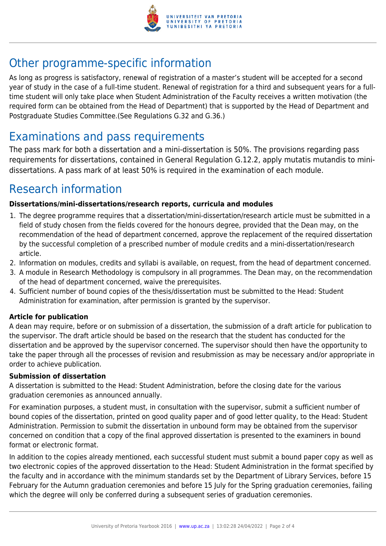

## Other programme-specific information

As long as progress is satisfactory, renewal of registration of a master's student will be accepted for a second year of study in the case of a full-time student. Renewal of registration for a third and subsequent years for a fulltime student will only take place when Student Administration of the Faculty receives a written motivation (the required form can be obtained from the Head of Department) that is supported by the Head of Department and Postgraduate Studies Committee.(See Regulations G.32 and G.36.)

### Examinations and pass requirements

The pass mark for both a dissertation and a mini-dissertation is 50%. The provisions regarding pass requirements for dissertations, contained in General Regulation G.12.2, apply mutatis mutandis to minidissertations. A pass mark of at least 50% is required in the examination of each module.

### Research information

#### **Dissertations/mini-dissertations/research reports, curricula and modules**

- 1. The degree programme requires that a dissertation/mini-dissertation/research article must be submitted in a field of study chosen from the fields covered for the honours degree, provided that the Dean may, on the recommendation of the head of department concerned, approve the replacement of the required dissertation by the successful completion of a prescribed number of module credits and a mini-dissertation/research article.
- 2. Information on modules, credits and syllabi is available, on request, from the head of department concerned.
- 3. A module in Research Methodology is compulsory in all programmes. The Dean may, on the recommendation of the head of department concerned, waive the prerequisites.
- 4. Sufficient number of bound copies of the thesis/dissertation must be submitted to the Head: Student Administration for examination, after permission is granted by the supervisor.

#### **Article for publication**

A dean may require, before or on submission of a dissertation, the submission of a draft article for publication to the supervisor. The draft article should be based on the research that the student has conducted for the dissertation and be approved by the supervisor concerned. The supervisor should then have the opportunity to take the paper through all the processes of revision and resubmission as may be necessary and/or appropriate in order to achieve publication.

#### **Submission of dissertation**

A dissertation is submitted to the Head: Student Administration, before the closing date for the various graduation ceremonies as announced annually.

For examination purposes, a student must, in consultation with the supervisor, submit a sufficient number of bound copies of the dissertation, printed on good quality paper and of good letter quality, to the Head: Student Administration. Permission to submit the dissertation in unbound form may be obtained from the supervisor concerned on condition that a copy of the final approved dissertation is presented to the examiners in bound format or electronic format.

In addition to the copies already mentioned, each successful student must submit a bound paper copy as well as two electronic copies of the approved dissertation to the Head: Student Administration in the format specified by the faculty and in accordance with the minimum standards set by the Department of Library Services, before 15 February for the Autumn graduation ceremonies and before 15 July for the Spring graduation ceremonies, failing which the degree will only be conferred during a subsequent series of graduation ceremonies.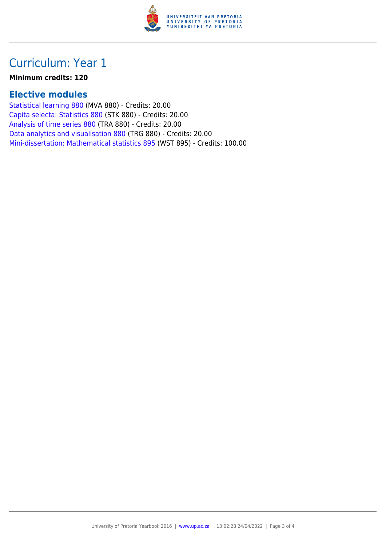

### Curriculum: Year 1

#### **Minimum credits: 120**

### **Elective modules**

[Statistical learning 880](https://www.up.ac.za/yearbooks/2016/modules/view/MVA 880) (MVA 880) - Credits: 20.00 [Capita selecta: Statistics 880](https://www.up.ac.za/yearbooks/2016/modules/view/STK 880) (STK 880) - Credits: 20.00 [Analysis of time series 880](https://www.up.ac.za/yearbooks/2016/modules/view/TRA 880) (TRA 880) - Credits: 20.00 [Data analytics and visualisation 880](https://www.up.ac.za/yearbooks/2016/modules/view/TRG 880) (TRG 880) - Credits: 20.00 [Mini-dissertation: Mathematical statistics 895](https://www.up.ac.za/yearbooks/2016/modules/view/WST 895) (WST 895) - Credits: 100.00